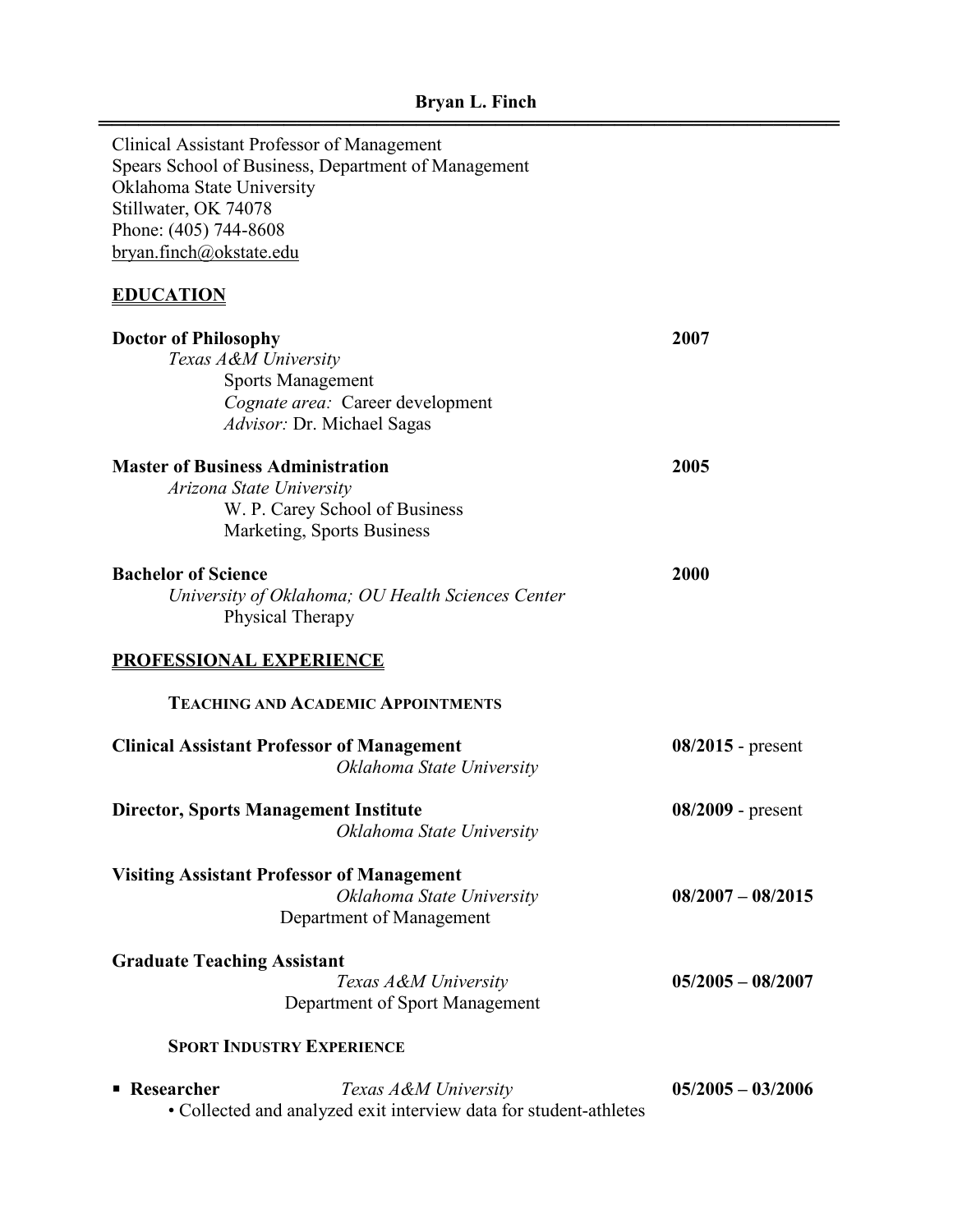Clinical Assistant Professor of Management Spears School of Business, Department of Management Oklahoma State University Stillwater, OK 74078 Phone: (405) 744-8608 [bryan.finch@okstate.edu](mailto:bryan.finch@okstate.edu)

### **EDUCATION**

| <u>EDUCATION</u>                                                  |                     |
|-------------------------------------------------------------------|---------------------|
| <b>Doctor of Philosophy</b>                                       | 2007                |
| Texas A&M University                                              |                     |
| <b>Sports Management</b>                                          |                     |
| Cognate area: Career development                                  |                     |
| Advisor: Dr. Michael Sagas                                        |                     |
| <b>Master of Business Administration</b>                          | 2005                |
| Arizona State University                                          |                     |
| W. P. Carey School of Business                                    |                     |
| Marketing, Sports Business                                        |                     |
| <b>Bachelor of Science</b>                                        | 2000                |
| University of Oklahoma; OU Health Sciences Center                 |                     |
| Physical Therapy                                                  |                     |
| <b>PROFESSIONAL EXPERIENCE</b>                                    |                     |
| <b>TEACHING AND ACADEMIC APPOINTMENTS</b>                         |                     |
| <b>Clinical Assistant Professor of Management</b>                 | $08/2015$ - present |
| Oklahoma State University                                         |                     |
| <b>Director, Sports Management Institute</b>                      | 08/2009 - present   |
| Oklahoma State University                                         |                     |
| <b>Visiting Assistant Professor of Management</b>                 |                     |
| Oklahoma State University                                         | $08/2007 - 08/2015$ |
| Department of Management                                          |                     |
| <b>Graduate Teaching Assistant</b>                                |                     |
| Texas A&M University                                              | $05/2005 - 08/2007$ |
| Department of Sport Management                                    |                     |
| <b>SPORT INDUSTRY EXPERIENCE</b>                                  |                     |
| $\blacksquare$ Researcher<br>Texas A&M University                 | $05/2005 - 03/2006$ |
| • Collected and analyzed exit interview data for student-athletes |                     |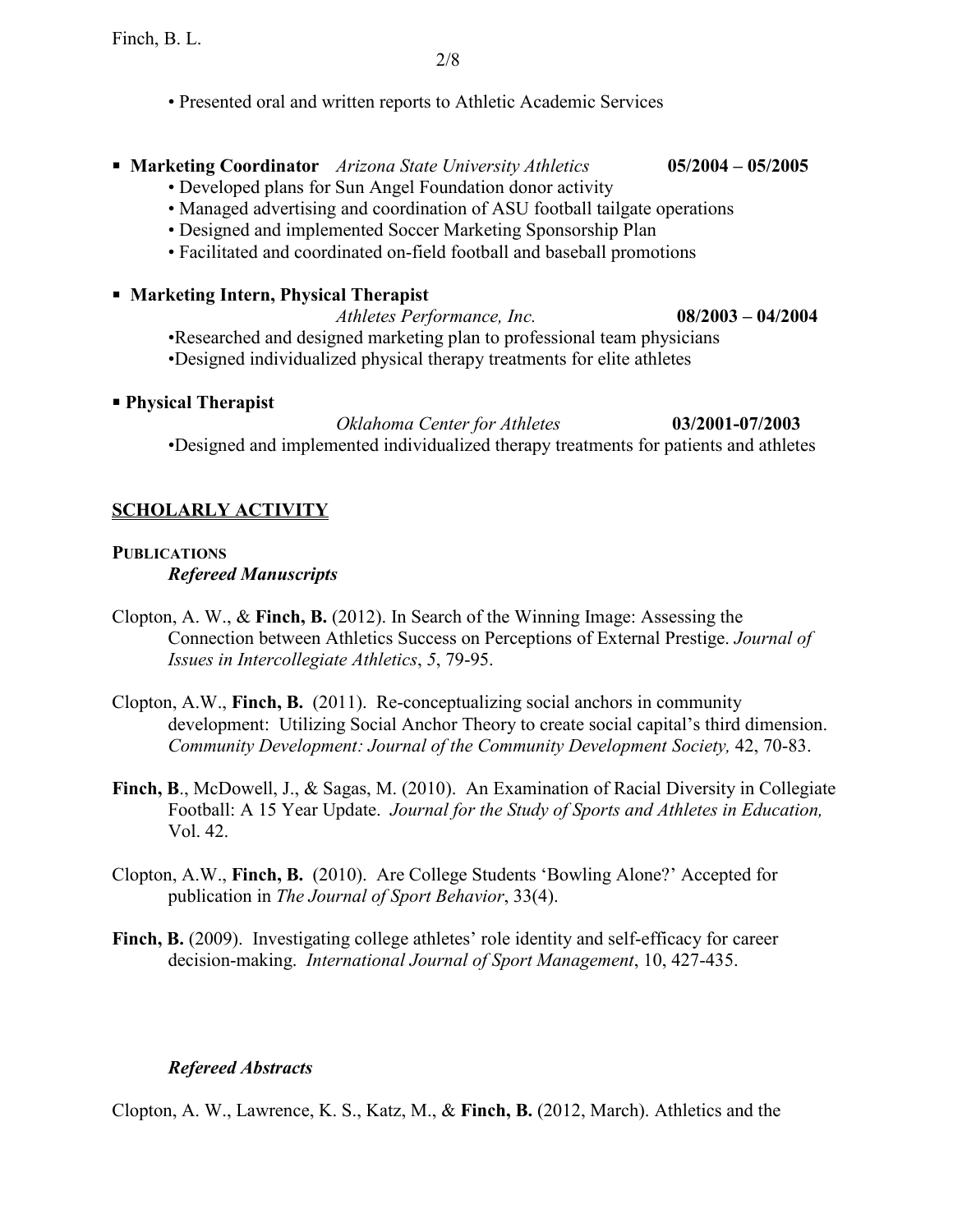• Presented oral and written reports to Athletic Academic Services

## **Marketing Coordinator** *Arizona State University Athletics* **05/2004 – 05/2005**

- Developed plans for Sun Angel Foundation donor activity
- Managed advertising and coordination of ASU football tailgate operations
- Designed and implemented Soccer Marketing Sponsorship Plan
- Facilitated and coordinated on-field football and baseball promotions

### **Marketing Intern, Physical Therapist**

*Athletes Performance, Inc.* **08/2003 – 04/2004** •Researched and designed marketing plan to professional team physicians •Designed individualized physical therapy treatments for elite athletes

### **Physical Therapist**

*Oklahoma Center for Athletes* **03/2001-07/2003** •Designed and implemented individualized therapy treatments for patients and athletes

## **SCHOLARLY ACTIVITY**

# **PUBLICATIONS**

*Refereed Manuscripts*

- Clopton, A. W., & **Finch, B.** (2012). In Search of the Winning Image: Assessing the Connection between Athletics Success on Perceptions of External Prestige. *Journal of Issues in Intercollegiate Athletics*, *5*, 79-95.
- Clopton, A.W., **Finch, B.** (2011). Re-conceptualizing social anchors in community development: Utilizing Social Anchor Theory to create social capital's third dimension. *Community Development: Journal of the Community Development Society,* 42, 70-83.
- **Finch, B**., McDowell, J., & Sagas, M. (2010). An Examination of Racial Diversity in Collegiate Football: A 15 Year Update. *Journal for the Study of Sports and Athletes in Education,* Vol. 42.
- Clopton, A.W., **Finch, B.** (2010). Are College Students 'Bowling Alone?' Accepted for publication in *The Journal of Sport Behavior*, 33(4).
- **Finch, B.** (2009). Investigating college athletes' role identity and self-efficacy for career decision-making. *International Journal of Sport Management*, 10, 427-435.

## *Refereed Abstracts*

Clopton, A. W., Lawrence, K. S., Katz, M., & **Finch, B.** (2012, March). Athletics and the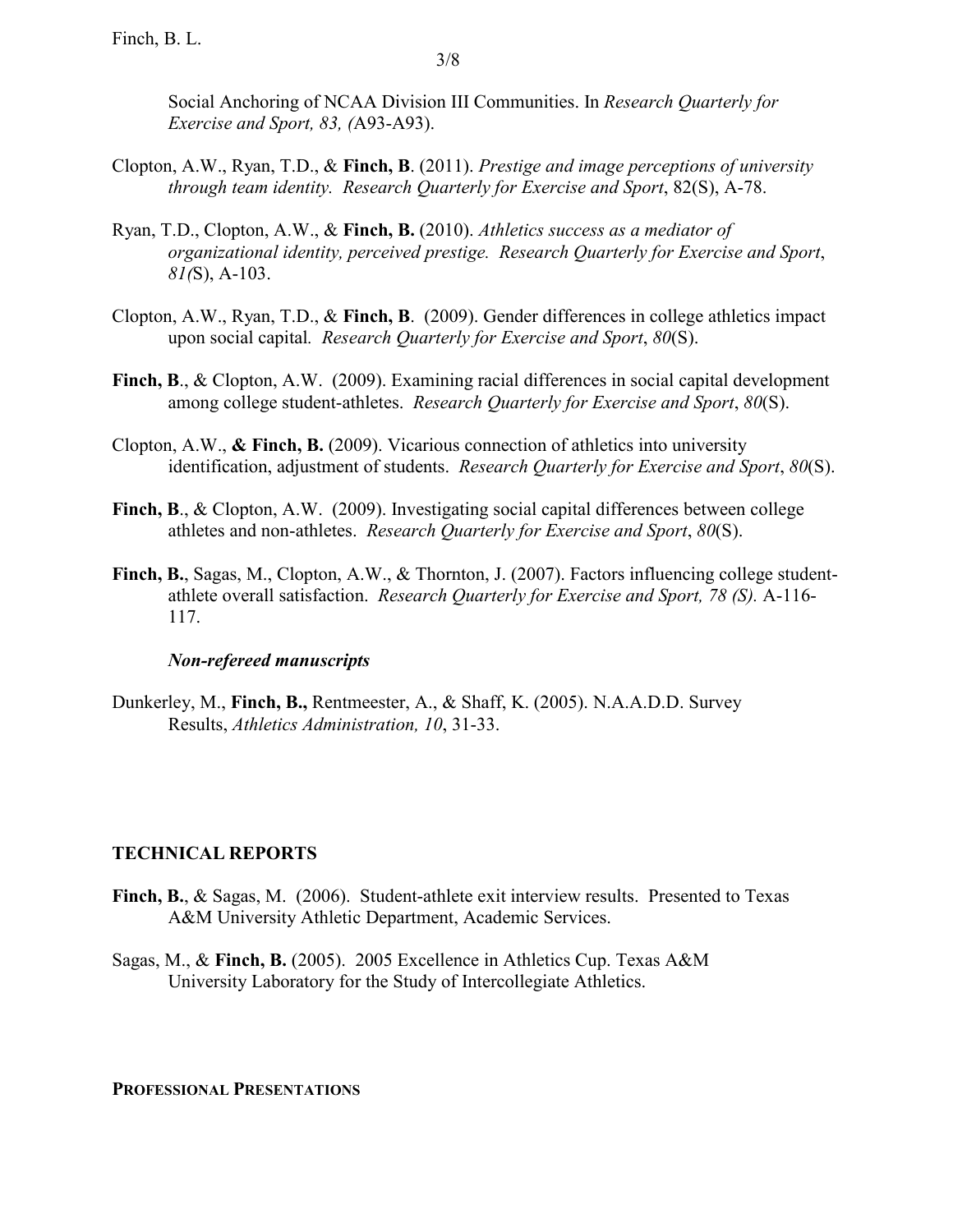Social Anchoring of NCAA Division III Communities. In *Research Quarterly for Exercise and Sport, 83, (*A93-A93).

- Clopton, A.W., Ryan, T.D., & **Finch, B**. (2011). *Prestige and image perceptions of university through team identity. Research Quarterly for Exercise and Sport*, 82(S), A-78.
- Ryan, T.D., Clopton, A.W., & **Finch, B.** (2010). *Athletics success as a mediator of organizational identity, perceived prestige. Research Quarterly for Exercise and Sport*, *81(*S), A-103.
- Clopton, A.W., Ryan, T.D., & **Finch, B**. (2009). Gender differences in college athletics impact upon social capital*. Research Quarterly for Exercise and Sport*, *80*(S).
- Finch, B., & Clopton, A.W. (2009). Examining racial differences in social capital development among college student-athletes. *Research Quarterly for Exercise and Sport*, *80*(S).
- Clopton, A.W., **& Finch, B.** (2009). Vicarious connection of athletics into university identification, adjustment of students. *Research Quarterly for Exercise and Sport*, *80*(S).
- **Finch, B., & Clopton, A.W. (2009). Investigating social capital differences between college** athletes and non-athletes. *Research Quarterly for Exercise and Sport*, *80*(S).
- **Finch, B.**, Sagas, M., Clopton, A.W., & Thornton, J. (2007). Factors influencing college studentathlete overall satisfaction. *Research Quarterly for Exercise and Sport, 78 (S).* A-116- 117.

### *Non-refereed manuscripts*

Dunkerley, M., **Finch, B.,** Rentmeester, A., & Shaff, K. (2005). N.A.A.D.D. Survey Results, *Athletics Administration, 10*, 31-33.

### **TECHNICAL REPORTS**

- **Finch, B.**, & Sagas, M. (2006). Student-athlete exit interview results. Presented to Texas A&M University Athletic Department, Academic Services.
- Sagas, M., & **Finch, B.** (2005). 2005 Excellence in Athletics Cup. Texas A&M University Laboratory for the Study of Intercollegiate Athletics.

#### **PROFESSIONAL PRESENTATIONS**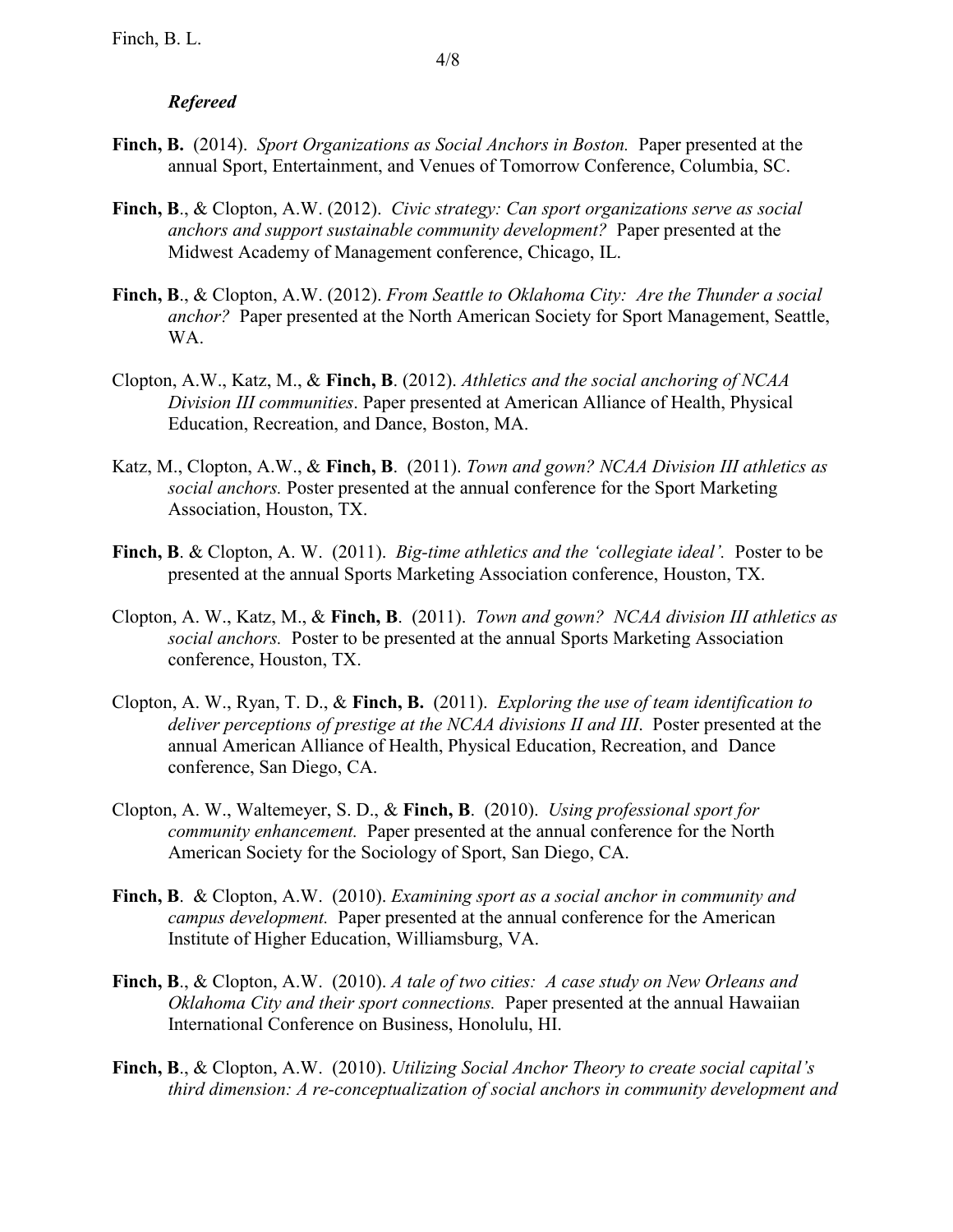## *Refereed*

- **Finch, B.** (2014). *Sport Organizations as Social Anchors in Boston.* Paper presented at the annual Sport, Entertainment, and Venues of Tomorrow Conference, Columbia, SC.
- **Finch, B**., & Clopton, A.W. (2012). *Civic strategy: Can sport organizations serve as social anchors and support sustainable community development?* Paper presented at the Midwest Academy of Management conference, Chicago, IL.
- **Finch, B**., & Clopton, A.W. (2012). *From Seattle to Oklahoma City: Are the Thunder a social anchor?* Paper presented at the North American Society for Sport Management, Seattle, WA.
- Clopton, A.W., Katz, M., & **Finch, B**. (2012). *Athletics and the social anchoring of NCAA Division III communities*. Paper presented at American Alliance of Health, Physical Education, Recreation, and Dance, Boston, MA.
- Katz, M., Clopton, A.W., & **Finch, B**. (2011). *Town and gown? NCAA Division III athletics as social anchors.* Poster presented at the annual conference for the Sport Marketing Association, Houston, TX.
- **Finch, B**. & Clopton, A. W. (2011). *Big-time athletics and the 'collegiate ideal'.* Poster to be presented at the annual Sports Marketing Association conference, Houston, TX.
- Clopton, A. W., Katz, M., & **Finch, B**. (2011). *Town and gown? NCAA division III athletics as social anchors.* Poster to be presented at the annual Sports Marketing Association conference, Houston, TX.
- Clopton, A. W., Ryan, T. D., & **Finch, B.** (2011). *Exploring the use of team identification to deliver perceptions of prestige at the NCAA divisions II and III*. Poster presented at the annual American Alliance of Health, Physical Education, Recreation, and Dance conference, San Diego, CA.
- Clopton, A. W., Waltemeyer, S. D., & **Finch, B**. (2010). *Using professional sport for community enhancement.* Paper presented at the annual conference for the North American Society for the Sociology of Sport, San Diego, CA.
- **Finch, B**. & Clopton, A.W. (2010). *Examining sport as a social anchor in community and campus development.* Paper presented at the annual conference for the American Institute of Higher Education, Williamsburg, VA.
- **Finch, B**., & Clopton, A.W. (2010). *A tale of two cities: A case study on New Orleans and Oklahoma City and their sport connections.* Paper presented at the annual Hawaiian International Conference on Business, Honolulu, HI.
- **Finch, B**., & Clopton, A.W. (2010). *Utilizing Social Anchor Theory to create social capital's third dimension: A re-conceptualization of social anchors in community development and*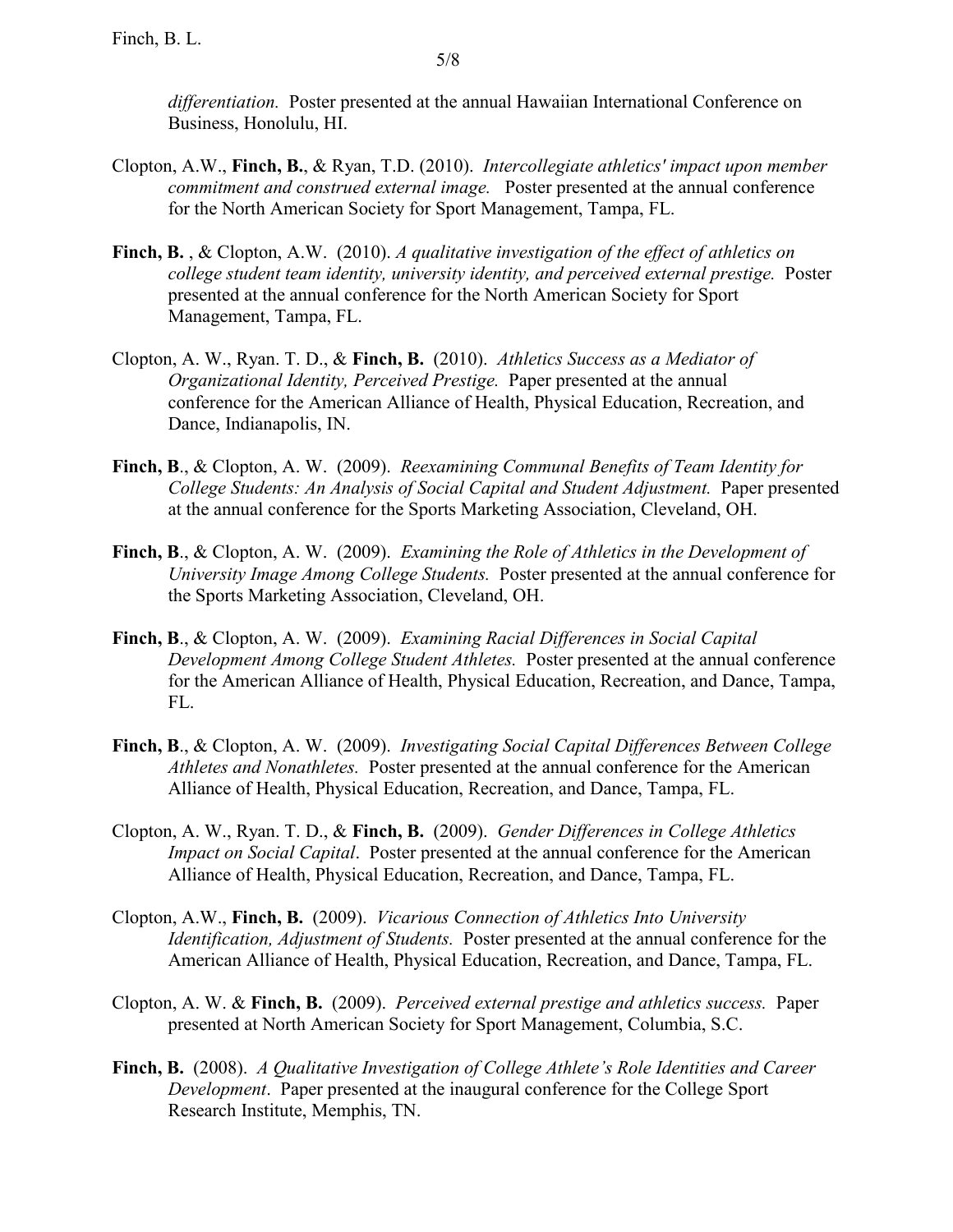*differentiation.* Poster presented at the annual Hawaiian International Conference on Business, Honolulu, HI.

- Clopton, A.W., **Finch, B.**, & Ryan, T.D. (2010). *Intercollegiate athletics' impact upon member commitment and construed external image.* Poster presented at the annual conference for the North American Society for Sport Management, Tampa, FL.
- **Finch, B.** , & Clopton, A.W. (2010). *A qualitative investigation of the effect of athletics on college student team identity, university identity, and perceived external prestige.* Poster presented at the annual conference for the North American Society for Sport Management, Tampa, FL.
- Clopton, A. W., Ryan. T. D., & **Finch, B.** (2010). *Athletics Success as a Mediator of Organizational Identity, Perceived Prestige.* Paper presented at the annual conference for the American Alliance of Health, Physical Education, Recreation, and Dance, Indianapolis, IN.
- **Finch, B**., & Clopton, A. W. (2009). *Reexamining Communal Benefits of Team Identity for College Students: An Analysis of Social Capital and Student Adjustment.* Paper presented at the annual conference for the Sports Marketing Association, Cleveland, OH.
- **Finch, B**., & Clopton, A. W. (2009). *Examining the Role of Athletics in the Development of University Image Among College Students.* Poster presented at the annual conference for the Sports Marketing Association, Cleveland, OH.
- **Finch, B**., & Clopton, A. W. (2009). *Examining Racial Differences in Social Capital Development Among College Student Athletes.* Poster presented at the annual conference for the American Alliance of Health, Physical Education, Recreation, and Dance, Tampa, FL.
- **Finch, B**., & Clopton, A. W. (2009). *Investigating Social Capital Differences Between College Athletes and Nonathletes.* Poster presented at the annual conference for the American Alliance of Health, Physical Education, Recreation, and Dance, Tampa, FL.
- Clopton, A. W., Ryan. T. D., & **Finch, B.** (2009). *Gender Differences in College Athletics Impact on Social Capital*. Poster presented at the annual conference for the American Alliance of Health, Physical Education, Recreation, and Dance, Tampa, FL.
- Clopton, A.W., **Finch, B.** (2009). *Vicarious Connection of Athletics Into University Identification, Adjustment of Students.* Poster presented at the annual conference for the American Alliance of Health, Physical Education, Recreation, and Dance, Tampa, FL.
- Clopton, A. W. & **Finch, B.** (2009). *Perceived external prestige and athletics success.* Paper presented at North American Society for Sport Management, Columbia, S.C.
- **Finch, B.** (2008). *A Qualitative Investigation of College Athlete's Role Identities and Career Development*. Paper presented at the inaugural conference for the College Sport Research Institute, Memphis, TN.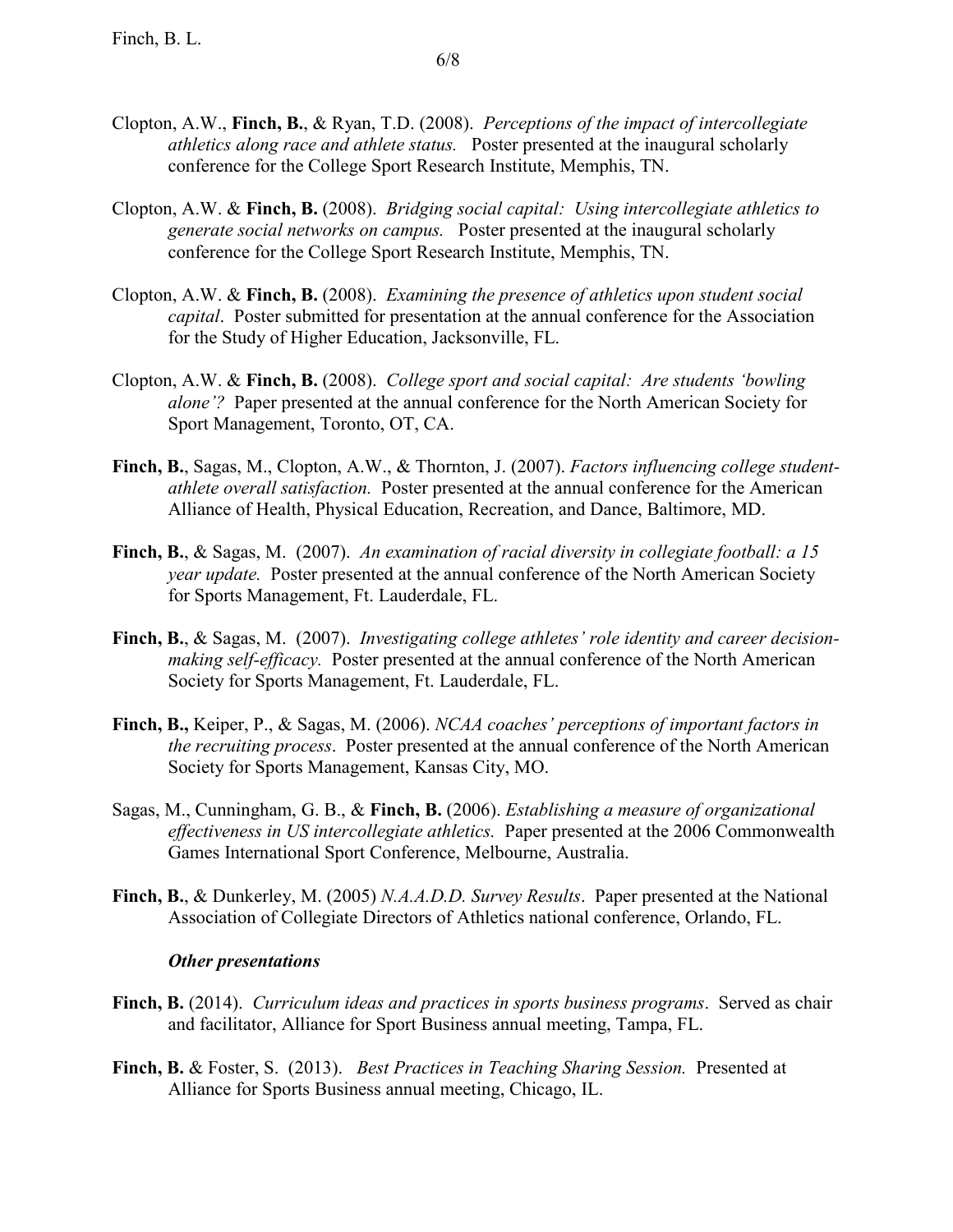- Clopton, A.W., **Finch, B.**, & Ryan, T.D. (2008). *Perceptions of the impact of intercollegiate athletics along race and athlete status.* Poster presented at the inaugural scholarly conference for the College Sport Research Institute, Memphis, TN.
- Clopton, A.W. & **Finch, B.** (2008). *Bridging social capital: Using intercollegiate athletics to generate social networks on campus.* Poster presented at the inaugural scholarly conference for the College Sport Research Institute, Memphis, TN.
- Clopton, A.W. & **Finch, B.** (2008). *Examining the presence of athletics upon student social capital*. Poster submitted for presentation at the annual conference for the Association for the Study of Higher Education, Jacksonville, FL.
- Clopton, A.W. & **Finch, B.** (2008). *College sport and social capital: Are students 'bowling alone'?* Paper presented at the annual conference for the North American Society for Sport Management, Toronto, OT, CA.
- **Finch, B.**, Sagas, M., Clopton, A.W., & Thornton, J. (2007). *Factors influencing college studentathlete overall satisfaction.* Poster presented at the annual conference for the American Alliance of Health, Physical Education, Recreation, and Dance, Baltimore, MD.
- **Finch, B.**, & Sagas, M. (2007). *An examination of racial diversity in collegiate football: a 15 year update.* Poster presented at the annual conference of the North American Society for Sports Management, Ft. Lauderdale, FL.
- **Finch, B.**, & Sagas, M. (2007). *Investigating college athletes' role identity and career decisionmaking self-efficacy.* Poster presented at the annual conference of the North American Society for Sports Management, Ft. Lauderdale, FL.
- **Finch, B.,** Keiper, P., & Sagas, M. (2006). *NCAA coaches' perceptions of important factors in the recruiting process*. Poster presented at the annual conference of the North American Society for Sports Management, Kansas City, MO.
- Sagas, M., Cunningham, G. B., & **Finch, B.** (2006). *Establishing a measure of organizational effectiveness in US intercollegiate athletics.* Paper presented at the 2006 Commonwealth Games International Sport Conference, Melbourne, Australia.
- **Finch, B.**, & Dunkerley, M. (2005) *N.A.A.D.D. Survey Results*. Paper presented at the National Association of Collegiate Directors of Athletics national conference, Orlando, FL.

#### *Other presentations*

- **Finch, B.** (2014). *Curriculum ideas and practices in sports business programs*. Served as chair and facilitator, Alliance for Sport Business annual meeting, Tampa, FL.
- **Finch, B.** & Foster, S. (2013). *Best Practices in Teaching Sharing Session.* Presented at Alliance for Sports Business annual meeting, Chicago, IL.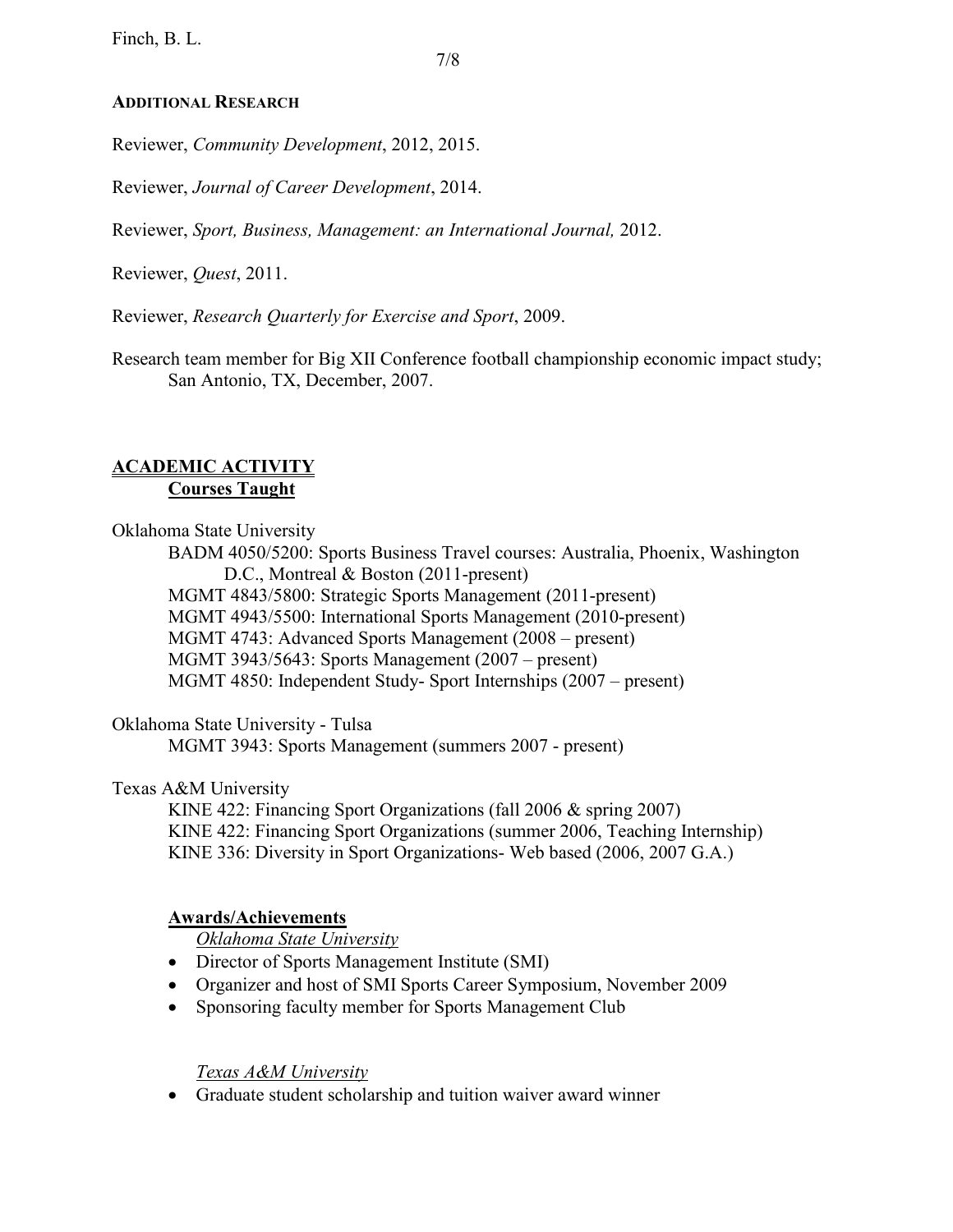Finch, B. L.

## **ADDITIONAL RESEARCH**

Reviewer, *Community Development*, 2012, 2015.

Reviewer, *Journal of Career Development*, 2014.

Reviewer, *Sport, Business, Management: an International Journal,* 2012.

Reviewer, *Quest*, 2011.

Reviewer, *Research Quarterly for Exercise and Sport*, 2009.

Research team member for Big XII Conference football championship economic impact study; San Antonio, TX, December, 2007.

## **ACADEMIC ACTIVITY Courses Taught**

Oklahoma State University

BADM 4050/5200: Sports Business Travel courses: Australia, Phoenix, Washington D.C., Montreal & Boston (2011-present) MGMT 4843/5800: Strategic Sports Management (2011-present) MGMT 4943/5500: International Sports Management (2010-present) MGMT 4743: Advanced Sports Management (2008 – present) MGMT 3943/5643: Sports Management (2007 – present) MGMT 4850: Independent Study- Sport Internships (2007 – present)

## Oklahoma State University - Tulsa

MGMT 3943: Sports Management (summers 2007 - present)

## Texas A&M University

KINE 422: Financing Sport Organizations (fall 2006 & spring 2007) KINE 422: Financing Sport Organizations (summer 2006, Teaching Internship) KINE 336: Diversity in Sport Organizations- Web based (2006, 2007 G.A.)

## **Awards/Achievements**

*Oklahoma State University*

- Director of Sports Management Institute (SMI)
- Organizer and host of SMI Sports Career Symposium, November 2009
- Sponsoring faculty member for Sports Management Club

*Texas A&M University*

• Graduate student scholarship and tuition waiver award winner